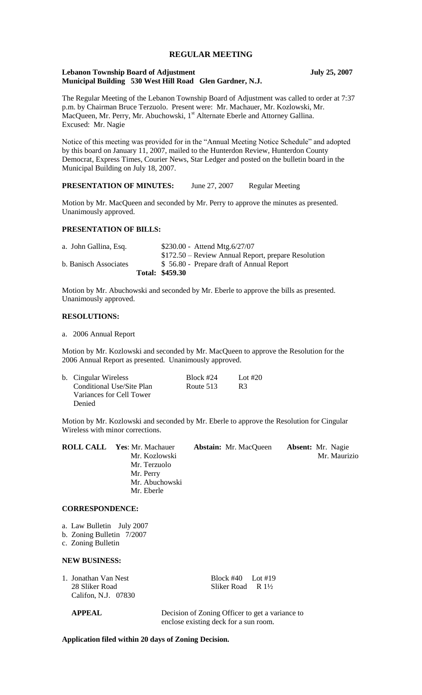## **REGULAR MEETING**

#### **Lebanon Township Board of Adjustment July 25, 2007 Municipal Building 530 West Hill Road Glen Gardner, N.J.**

The Regular Meeting of the Lebanon Township Board of Adjustment was called to order at 7:37 p.m. by Chairman Bruce Terzuolo. Present were: Mr. Machauer, Mr. Kozlowski, Mr. MacQueen, Mr. Perry, Mr. Abuchowski, 1<sup>st</sup> Alternate Eberle and Attorney Gallina. Excused: Mr. Nagie

Notice of this meeting was provided for in the "Annual Meeting Notice Schedule" and adopted by this board on January 11, 2007, mailed to the Hunterdon Review, Hunterdon County Democrat, Express Times, Courier News, Star Ledger and posted on the bulletin board in the Municipal Building on July 18, 2007.

**PRESENTATION OF MINUTES:** June 27, 2007 Regular Meeting

Motion by Mr. MacQueen and seconded by Mr. Perry to approve the minutes as presented. Unanimously approved.

## **PRESENTATION OF BILLS:**

|                       | Total: \$459.30                                     |
|-----------------------|-----------------------------------------------------|
| b. Banisch Associates | \$56.80 - Prepare draft of Annual Report            |
|                       | \$172.50 – Review Annual Report, prepare Resolution |
| a. John Gallina, Esq. | $$230.00 -$ Attend Mtg.6/27/07                      |

Motion by Mr. Abuchowski and seconded by Mr. Eberle to approve the bills as presented. Unanimously approved.

## **RESOLUTIONS:**

a. 2006 Annual Report

Motion by Mr. Kozlowski and seconded by Mr. MacQueen to approve the Resolution for the 2006 Annual Report as presented. Unanimously approved.

| b. Cingular Wireless      | Block #24 | Lot $#20$      |  |  |
|---------------------------|-----------|----------------|--|--|
| Conditional Use/Site Plan | Route 513 | R <sub>3</sub> |  |  |
| Variances for Cell Tower  |           |                |  |  |
| Denied                    |           |                |  |  |

Motion by Mr. Kozlowski and seconded by Mr. Eberle to approve the Resolution for Cingular Wireless with minor corrections.

| <b>ROLL CALL Yes: Mr. Machauer</b> | <b>Abstain:</b> Mr. MacQueen | <b>Absent:</b> Mr. Nagie |
|------------------------------------|------------------------------|--------------------------|
| Mr. Kozlowski                      |                              | Mr. Maurizio             |
| Mr. Terzuolo                       |                              |                          |
| Mr. Perry                          |                              |                          |
| Mr. Abuchowski                     |                              |                          |
| Mr. Eberle                         |                              |                          |

## **CORRESPONDENCE:**

- a. Law Bulletin July 2007
- b. Zoning Bulletin 7/2007
- c. Zoning Bulletin

#### **NEW BUSINESS:**

1. Jonathan Van Nest Block #40 Lot #19 Califon, N.J. 07830

28 Sliker Road R 1<sup>1</sup>/<sub>2</sub>

 **APPEAL** Decision of Zoning Officer to get a variance to enclose existing deck for a sun room.

**Application filed within 20 days of Zoning Decision.**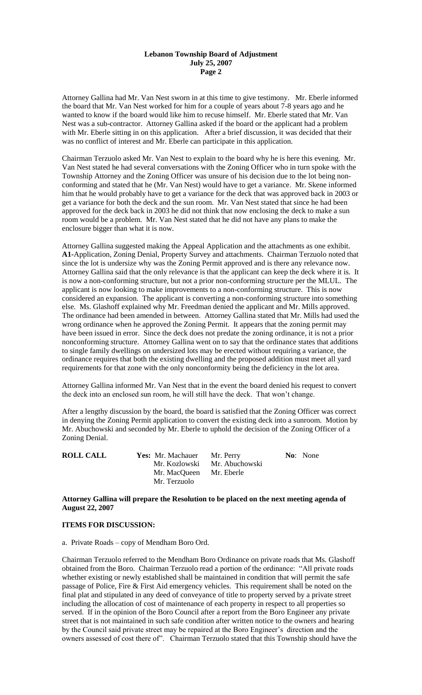#### **Lebanon Township Board of Adjustment July 25, 2007 Page 2**

Attorney Gallina had Mr. Van Nest sworn in at this time to give testimony. Mr. Eberle informed the board that Mr. Van Nest worked for him for a couple of years about 7-8 years ago and he wanted to know if the board would like him to recuse himself. Mr. Eberle stated that Mr. Van Nest was a sub-contractor. Attorney Gallina asked if the board or the applicant had a problem with Mr. Eberle sitting in on this application. After a brief discussion, it was decided that their was no conflict of interest and Mr. Eberle can participate in this application.

Chairman Terzuolo asked Mr. Van Nest to explain to the board why he is here this evening. Mr. Van Nest stated he had several conversations with the Zoning Officer who in turn spoke with the Township Attorney and the Zoning Officer was unsure of his decision due to the lot being nonconforming and stated that he (Mr. Van Nest) would have to get a variance. Mr. Skene informed him that he would probably have to get a variance for the deck that was approved back in 2003 or get a variance for both the deck and the sun room. Mr. Van Nest stated that since he had been approved for the deck back in 2003 he did not think that now enclosing the deck to make a sun room would be a problem. Mr. Van Nest stated that he did not have any plans to make the enclosure bigger than what it is now.

Attorney Gallina suggested making the Appeal Application and the attachments as one exhibit. **A1-**Application, Zoning Denial, Property Survey and attachments. Chairman Terzuolo noted that since the lot is undersize why was the Zoning Permit approved and is there any relevance now. Attorney Gallina said that the only relevance is that the applicant can keep the deck where it is. It is now a non-conforming structure, but not a prior non-conforming structure per the MLUL. The applicant is now looking to make improvements to a non-conforming structure. This is now considered an expansion. The applicant is converting a non-conforming structure into something else. Ms. Glashoff explained why Mr. Freedman denied the applicant and Mr. Mills approved. The ordinance had been amended in between. Attorney Gallina stated that Mr. Mills had used the wrong ordinance when he approved the Zoning Permit. It appears that the zoning permit may have been issued in error. Since the deck does not predate the zoning ordinance, it is not a prior nonconforming structure. Attorney Gallina went on to say that the ordinance states that additions to single family dwellings on undersized lots may be erected without requiring a variance, the ordinance requires that both the existing dwelling and the proposed addition must meet all yard requirements for that zone with the only nonconformity being the deficiency in the lot area.

Attorney Gallina informed Mr. Van Nest that in the event the board denied his request to convert the deck into an enclosed sun room, he will still have the deck. That won't change.

After a lengthy discussion by the board, the board is satisfied that the Zoning Officer was correct in denying the Zoning Permit application to convert the existing deck into a sunroom. Motion by Mr. Abuchowski and seconded by Mr. Eberle to uphold the decision of the Zoning Officer of a Zoning Denial.

**Yes:** Mr. Machauer Mr. Perry **No**: None Mr. Kozlowski Mr. Abuchowski Mr. MacQueen Mr. Eberle Mr. Terzuolo

## **Attorney Gallina will prepare the Resolution to be placed on the next meeting agenda of August 22, 2007**

# **ITEMS FOR DISCUSSION:**

a. Private Roads – copy of Mendham Boro Ord.

Chairman Terzuolo referred to the Mendham Boro Ordinance on private roads that Ms. Glashoff obtained from the Boro. Chairman Terzuolo read a portion of the ordinance: "All private roads whether existing or newly established shall be maintained in condition that will permit the safe passage of Police, Fire & First Aid emergency vehicles. This requirement shall be noted on the final plat and stipulated in any deed of conveyance of title to property served by a private street including the allocation of cost of maintenance of each property in respect to all properties so served. If in the opinion of the Boro Council after a report from the Boro Engineer any private street that is not maintained in such safe condition after written notice to the owners and hearing by the Council said private street may be repaired at the Boro Engineer's direction and the owners assessed of cost there of". Chairman Terzuolo stated that this Township should have the